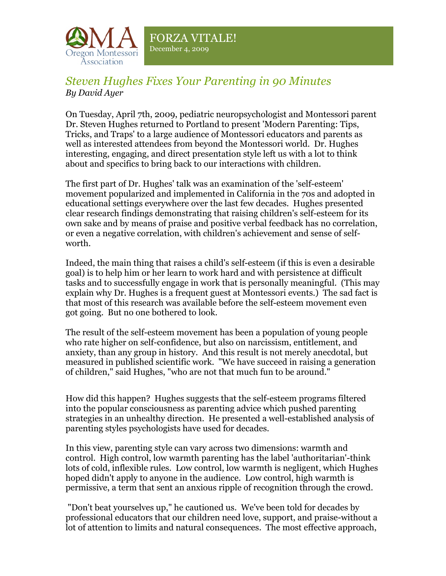

## *Steven Hughes Fixes Your Parenting in 90 Minutes By David Ayer*

On Tuesday, April 7th, 2009, pediatric neuropsychologist and Montessori parent Dr. Steven Hughes returned to Portland to present 'Modern Parenting: Tips, Tricks, and Traps' to a large audience of Montessori educators and parents as well as interested attendees from beyond the Montessori world. Dr. Hughes interesting, engaging, and direct presentation style left us with a lot to think about and specifics to bring back to our interactions with children.

The first part of Dr. Hughes' talk was an examination of the 'self-esteem' movement popularized and implemented in California in the 70s and adopted in educational settings everywhere over the last few decades. Hughes presented clear research findings demonstrating that raising children's self-esteem for its own sake and by means of praise and positive verbal feedback has no correlation, or even a negative correlation, with children's achievement and sense of selfworth.

Indeed, the main thing that raises a child's self-esteem (if this is even a desirable goal) is to help him or her learn to work hard and with persistence at difficult tasks and to successfully engage in work that is personally meaningful. (This may explain why Dr. Hughes is a frequent guest at Montessori events.) The sad fact is that most of this research was available before the self-esteem movement even got going. But no one bothered to look.

The result of the self-esteem movement has been a population of young people who rate higher on self-confidence, but also on narcissism, entitlement, and anxiety, than any group in history. And this result is not merely anecdotal, but measured in published scientific work. "We have succeed in raising a generation of children," said Hughes, "who are not that much fun to be around."

How did this happen? Hughes suggests that the self-esteem programs filtered into the popular consciousness as parenting advice which pushed parenting strategies in an unhealthy direction. He presented a well-established analysis of parenting styles psychologists have used for decades.

In this view, parenting style can vary across two dimensions: warmth and control. High control, low warmth parenting has the label 'authoritarian'-think lots of cold, inflexible rules. Low control, low warmth is negligent, which Hughes hoped didn't apply to anyone in the audience. Low control, high warmth is permissive, a term that sent an anxious ripple of recognition through the crowd.

"Don't beat yourselves up," he cautioned us. We've been told for decades by professional educators that our children need love, support, and praise-without a lot of attention to limits and natural consequences. The most effective approach,